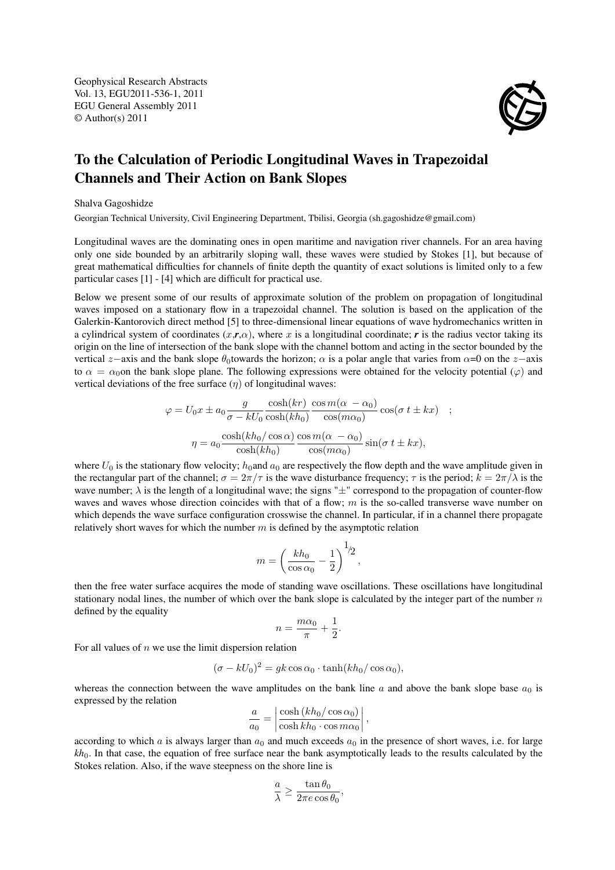Geophysical Research Abstracts Vol. 13, EGU2011-536-1, 2011 EGU General Assembly 2011 © Author(s) 2011



## To the Calculation of Periodic Longitudinal Waves in Trapezoidal Channels and Their Action on Bank Slopes

## Shalva Gagoshidze

Georgian Technical University, Civil Engineering Department, Tbilisi, Georgia (sh.gagoshidze@gmail.com)

Longitudinal waves are the dominating ones in open maritime and navigation river channels. For an area having only one side bounded by an arbitrarily sloping wall, these waves were studied by Stokes [1], but because of great mathematical difficulties for channels of finite depth the quantity of exact solutions is limited only to a few particular cases [1] - [4] which are difficult for practical use.

Below we present some of our results of approximate solution of the problem on propagation of longitudinal waves imposed on a stationary flow in a trapezoidal channel. The solution is based on the application of the Galerkin-Kantorovich direct method [5] to three-dimensional linear equations of wave hydromechanics written in a cylindrical system of coordinates  $(x,r,\alpha)$ , where x is a longitudinal coordinate; r is the radius vector taking its origin on the line of intersection of the bank slope with the channel bottom and acting in the sector bounded by the vertical z−axis and the bank slope  $\theta_0$ towards the horizon;  $\alpha$  is a polar angle that varies from  $\alpha=0$  on the z−axis to  $\alpha = \alpha_0$  the bank slope plane. The following expressions were obtained for the velocity potential ( $\varphi$ ) and vertical deviations of the free surface  $(\eta)$  of longitudinal waves:

$$
\varphi = U_0 x \pm a_0 \frac{g}{\sigma - kU_0} \frac{\cosh(kr)}{\cosh(kh_0)} \frac{\cos m(\alpha - \alpha_0)}{\cos(m\alpha_0)} \cos(\sigma t \pm kx) ;
$$

$$
\eta = a_0 \frac{\cosh(kh_0/\cos\alpha)}{\cosh(kh_0)} \frac{\cos m(\alpha - \alpha_0)}{\cos(m\alpha_0)} \sin(\sigma t \pm kx),
$$

where  $U_0$  is the stationary flow velocity;  $h_0$ and  $a_0$  are respectively the flow depth and the wave amplitude given in the rectangular part of the channel;  $\sigma = 2\pi/\tau$  is the wave disturbance frequency;  $\tau$  is the period;  $k = 2\pi/\lambda$  is the wave number;  $\lambda$  is the length of a longitudinal wave; the signs " $\pm$ " correspond to the propagation of counter-flow waves and waves whose direction coincides with that of a flow;  $m$  is the so-called transverse wave number on which depends the wave surface configuration crosswise the channel. In particular, if in a channel there propagate relatively short waves for which the number  $m$  is defined by the asymptotic relation

$$
m = \left(\frac{k h_0}{\cos \alpha_0} - \frac{1}{2}\right)^{1/2},
$$

then the free water surface acquires the mode of standing wave oscillations. These oscillations have longitudinal stationary nodal lines, the number of which over the bank slope is calculated by the integer part of the number  $n$ defined by the equality

$$
n = \frac{m\alpha_0}{\pi} + \frac{1}{2}.
$$

For all values of  $n$  we use the limit dispersion relation

$$
(\sigma - kU_0)^2 = gk \cos \alpha_0 \cdot \tanh(kh_0/\cos \alpha_0),
$$

whereas the connection between the wave amplitudes on the bank line a and above the bank slope base  $a_0$  is expressed by the relation

$$
\frac{a}{a_0} = \left| \frac{\cosh\left(kh_0/\cos\alpha_0\right)}{\cosh kh_0 \cdot \cos m\alpha_0} \right|,
$$

according to which a is always larger than  $a_0$  and much exceeds  $a_0$  in the presence of short waves, i.e. for large *kh*0. In that case, the equation of free surface near the bank asymptotically leads to the results calculated by the Stokes relation. Also, if the wave steepness on the shore line is

$$
\frac{a}{\lambda} \ge \frac{\tan \theta_0}{2\pi e \cos \theta_0},
$$